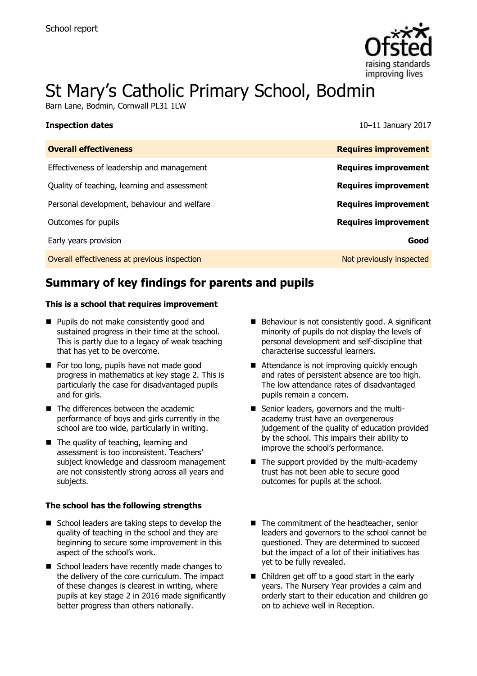

# St Mary's Catholic Primary School, Bodmin

Barn Lane, Bodmin, Cornwall PL31 1LW

| <b>Inspection dates</b>                      | 10-11 January 2017          |
|----------------------------------------------|-----------------------------|
| <b>Overall effectiveness</b>                 | <b>Requires improvement</b> |
| Effectiveness of leadership and management   | <b>Requires improvement</b> |
| Quality of teaching, learning and assessment | <b>Requires improvement</b> |
| Personal development, behaviour and welfare  | <b>Requires improvement</b> |
| Outcomes for pupils                          | <b>Requires improvement</b> |
| Early years provision                        | Good                        |
| Overall effectiveness at previous inspection | Not previously inspected    |

## **Summary of key findings for parents and pupils**

#### **This is a school that requires improvement**

- **Pupils do not make consistently good and** sustained progress in their time at the school. This is partly due to a legacy of weak teaching that has yet to be overcome.
- For too long, pupils have not made good progress in mathematics at key stage 2. This is particularly the case for disadvantaged pupils and for girls.
- The differences between the academic performance of boys and girls currently in the school are too wide, particularly in writing.
- The quality of teaching, learning and assessment is too inconsistent. Teachers' subject knowledge and classroom management are not consistently strong across all years and subjects.

#### **The school has the following strengths**

- School leaders are taking steps to develop the quality of teaching in the school and they are beginning to secure some improvement in this aspect of the school's work.
- School leaders have recently made changes to the delivery of the core curriculum. The impact of these changes is clearest in writing, where pupils at key stage 2 in 2016 made significantly better progress than others nationally.
- Behaviour is not consistently good. A significant minority of pupils do not display the levels of personal development and self-discipline that characterise successful learners.
- Attendance is not improving quickly enough and rates of persistent absence are too high. The low attendance rates of disadvantaged pupils remain a concern.
- Senior leaders, governors and the multiacademy trust have an overgenerous judgement of the quality of education provided by the school. This impairs their ability to improve the school's performance.
- The support provided by the multi-academy trust has not been able to secure good outcomes for pupils at the school.
- The commitment of the headteacher, senior leaders and governors to the school cannot be questioned. They are determined to succeed but the impact of a lot of their initiatives has yet to be fully revealed.
- Children get off to a good start in the early years. The Nursery Year provides a calm and orderly start to their education and children go on to achieve well in Reception.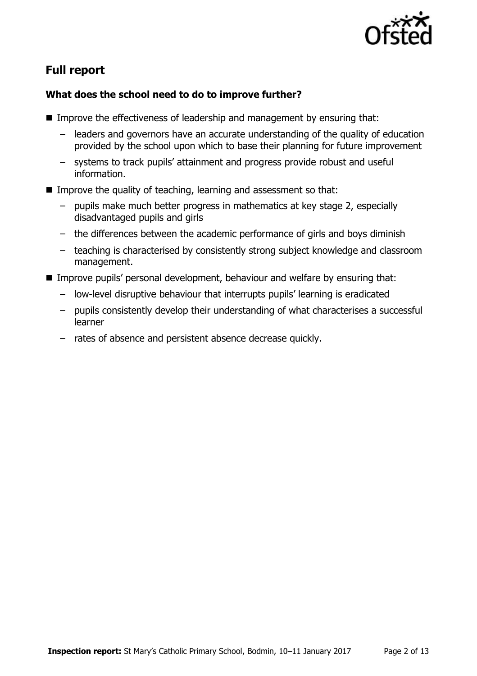

# **Full report**

### **What does the school need to do to improve further?**

- Improve the effectiveness of leadership and management by ensuring that:
	- leaders and governors have an accurate understanding of the quality of education provided by the school upon which to base their planning for future improvement
	- systems to track pupils' attainment and progress provide robust and useful information.
- Improve the quality of teaching, learning and assessment so that:
	- pupils make much better progress in mathematics at key stage 2, especially disadvantaged pupils and girls
	- the differences between the academic performance of girls and boys diminish
	- teaching is characterised by consistently strong subject knowledge and classroom management.
- Improve pupils' personal development, behaviour and welfare by ensuring that:
	- low-level disruptive behaviour that interrupts pupils' learning is eradicated
	- pupils consistently develop their understanding of what characterises a successful learner
	- rates of absence and persistent absence decrease quickly.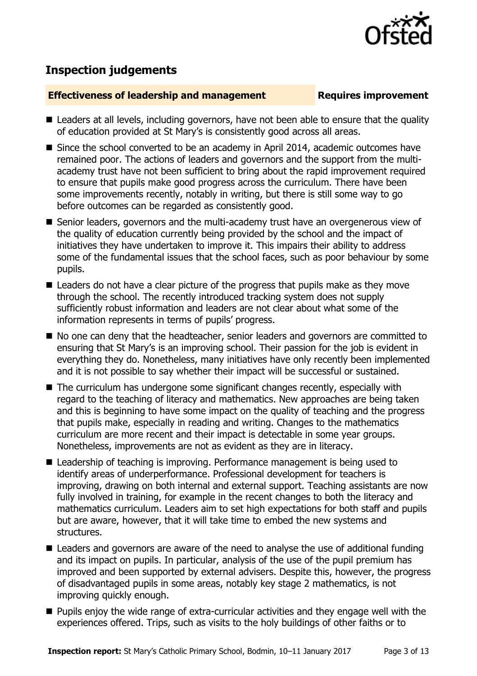

# **Inspection judgements**

#### **Effectiveness of leadership and management Requires improvement**

- Leaders at all levels, including governors, have not been able to ensure that the quality of education provided at St Mary's is consistently good across all areas.
- Since the school converted to be an academy in April 2014, academic outcomes have remained poor. The actions of leaders and governors and the support from the multiacademy trust have not been sufficient to bring about the rapid improvement required to ensure that pupils make good progress across the curriculum. There have been some improvements recently, notably in writing, but there is still some way to go before outcomes can be regarded as consistently good.
- Senior leaders, governors and the multi-academy trust have an overgenerous view of the quality of education currently being provided by the school and the impact of initiatives they have undertaken to improve it. This impairs their ability to address some of the fundamental issues that the school faces, such as poor behaviour by some pupils.
- Leaders do not have a clear picture of the progress that pupils make as they move through the school. The recently introduced tracking system does not supply sufficiently robust information and leaders are not clear about what some of the information represents in terms of pupils' progress.
- No one can deny that the headteacher, senior leaders and governors are committed to ensuring that St Mary's is an improving school. Their passion for the job is evident in everything they do. Nonetheless, many initiatives have only recently been implemented and it is not possible to say whether their impact will be successful or sustained.
- The curriculum has undergone some significant changes recently, especially with regard to the teaching of literacy and mathematics. New approaches are being taken and this is beginning to have some impact on the quality of teaching and the progress that pupils make, especially in reading and writing. Changes to the mathematics curriculum are more recent and their impact is detectable in some year groups. Nonetheless, improvements are not as evident as they are in literacy.
- Leadership of teaching is improving. Performance management is being used to identify areas of underperformance. Professional development for teachers is improving, drawing on both internal and external support. Teaching assistants are now fully involved in training, for example in the recent changes to both the literacy and mathematics curriculum. Leaders aim to set high expectations for both staff and pupils but are aware, however, that it will take time to embed the new systems and structures.
- Leaders and governors are aware of the need to analyse the use of additional funding and its impact on pupils. In particular, analysis of the use of the pupil premium has improved and been supported by external advisers. Despite this, however, the progress of disadvantaged pupils in some areas, notably key stage 2 mathematics, is not improving quickly enough.
- **Pupils enjoy the wide range of extra-curricular activities and they engage well with the** experiences offered. Trips, such as visits to the holy buildings of other faiths or to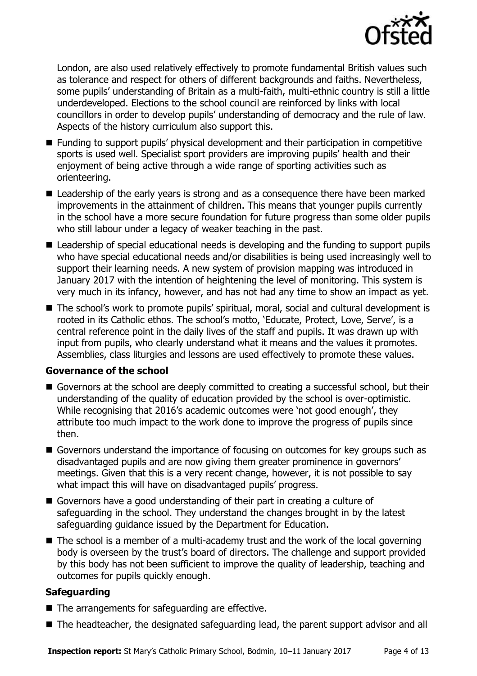

London, are also used relatively effectively to promote fundamental British values such as tolerance and respect for others of different backgrounds and faiths. Nevertheless, some pupils' understanding of Britain as a multi-faith, multi-ethnic country is still a little underdeveloped. Elections to the school council are reinforced by links with local councillors in order to develop pupils' understanding of democracy and the rule of law. Aspects of the history curriculum also support this.

- Funding to support pupils' physical development and their participation in competitive sports is used well. Specialist sport providers are improving pupils' health and their enjoyment of being active through a wide range of sporting activities such as orienteering.
- Leadership of the early years is strong and as a consequence there have been marked improvements in the attainment of children. This means that younger pupils currently in the school have a more secure foundation for future progress than some older pupils who still labour under a legacy of weaker teaching in the past.
- Leadership of special educational needs is developing and the funding to support pupils who have special educational needs and/or disabilities is being used increasingly well to support their learning needs. A new system of provision mapping was introduced in January 2017 with the intention of heightening the level of monitoring. This system is very much in its infancy, however, and has not had any time to show an impact as yet.
- The school's work to promote pupils' spiritual, moral, social and cultural development is rooted in its Catholic ethos. The school's motto, 'Educate, Protect, Love, Serve', is a central reference point in the daily lives of the staff and pupils. It was drawn up with input from pupils, who clearly understand what it means and the values it promotes. Assemblies, class liturgies and lessons are used effectively to promote these values.

### **Governance of the school**

- Governors at the school are deeply committed to creating a successful school, but their understanding of the quality of education provided by the school is over-optimistic. While recognising that 2016's academic outcomes were 'not good enough', they attribute too much impact to the work done to improve the progress of pupils since then.
- Governors understand the importance of focusing on outcomes for key groups such as disadvantaged pupils and are now giving them greater prominence in governors' meetings. Given that this is a very recent change, however, it is not possible to say what impact this will have on disadvantaged pupils' progress.
- Governors have a good understanding of their part in creating a culture of safeguarding in the school. They understand the changes brought in by the latest safeguarding guidance issued by the Department for Education.
- $\blacksquare$  The school is a member of a multi-academy trust and the work of the local governing body is overseen by the trust's board of directors. The challenge and support provided by this body has not been sufficient to improve the quality of leadership, teaching and outcomes for pupils quickly enough.

### **Safeguarding**

- $\blacksquare$  The arrangements for safeguarding are effective.
- The headteacher, the designated safeguarding lead, the parent support advisor and all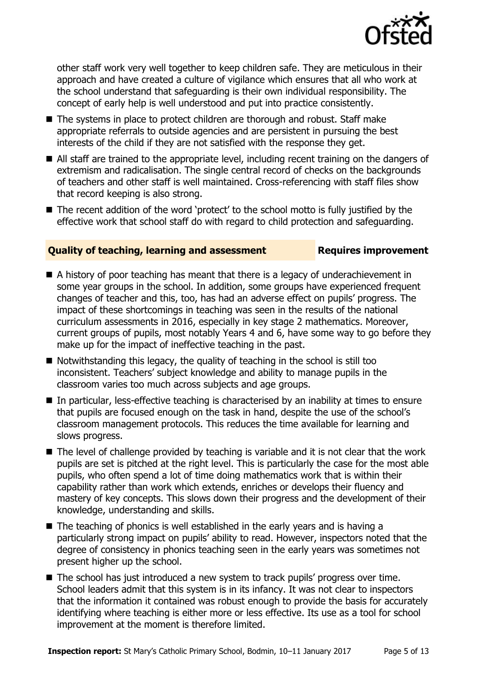

other staff work very well together to keep children safe. They are meticulous in their approach and have created a culture of vigilance which ensures that all who work at the school understand that safeguarding is their own individual responsibility. The concept of early help is well understood and put into practice consistently.

- The systems in place to protect children are thorough and robust. Staff make appropriate referrals to outside agencies and are persistent in pursuing the best interests of the child if they are not satisfied with the response they get.
- All staff are trained to the appropriate level, including recent training on the dangers of extremism and radicalisation. The single central record of checks on the backgrounds of teachers and other staff is well maintained. Cross-referencing with staff files show that record keeping is also strong.
- The recent addition of the word 'protect' to the school motto is fully justified by the effective work that school staff do with regard to child protection and safeguarding.

#### **Quality of teaching, learning and assessment Requires improvement**

- A history of poor teaching has meant that there is a legacy of underachievement in some year groups in the school. In addition, some groups have experienced frequent changes of teacher and this, too, has had an adverse effect on pupils' progress. The impact of these shortcomings in teaching was seen in the results of the national curriculum assessments in 2016, especially in key stage 2 mathematics. Moreover, current groups of pupils, most notably Years 4 and 6, have some way to go before they make up for the impact of ineffective teaching in the past.
- $\blacksquare$  Notwithstanding this legacy, the quality of teaching in the school is still too inconsistent. Teachers' subject knowledge and ability to manage pupils in the classroom varies too much across subjects and age groups.
- In particular, less-effective teaching is characterised by an inability at times to ensure that pupils are focused enough on the task in hand, despite the use of the school's classroom management protocols. This reduces the time available for learning and slows progress.
- $\blacksquare$  The level of challenge provided by teaching is variable and it is not clear that the work pupils are set is pitched at the right level. This is particularly the case for the most able pupils, who often spend a lot of time doing mathematics work that is within their capability rather than work which extends, enriches or develops their fluency and mastery of key concepts. This slows down their progress and the development of their knowledge, understanding and skills.
- The teaching of phonics is well established in the early years and is having a particularly strong impact on pupils' ability to read. However, inspectors noted that the degree of consistency in phonics teaching seen in the early years was sometimes not present higher up the school.
- The school has just introduced a new system to track pupils' progress over time. School leaders admit that this system is in its infancy. It was not clear to inspectors that the information it contained was robust enough to provide the basis for accurately identifying where teaching is either more or less effective. Its use as a tool for school improvement at the moment is therefore limited.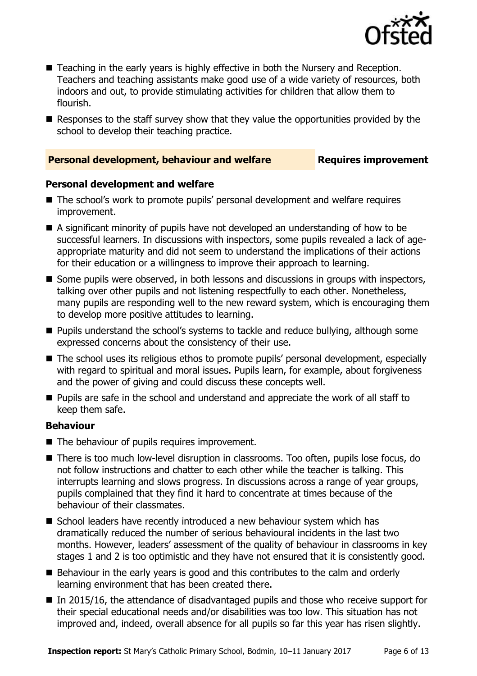

- Teaching in the early years is highly effective in both the Nursery and Reception. Teachers and teaching assistants make good use of a wide variety of resources, both indoors and out, to provide stimulating activities for children that allow them to flourish.
- Responses to the staff survey show that they value the opportunities provided by the school to develop their teaching practice.

#### **Personal development, behaviour and welfare <b>Requires improvement**

#### **Personal development and welfare**

- The school's work to promote pupils' personal development and welfare requires improvement.
- A significant minority of pupils have not developed an understanding of how to be successful learners. In discussions with inspectors, some pupils revealed a lack of ageappropriate maturity and did not seem to understand the implications of their actions for their education or a willingness to improve their approach to learning.
- Some pupils were observed, in both lessons and discussions in groups with inspectors, talking over other pupils and not listening respectfully to each other. Nonetheless, many pupils are responding well to the new reward system, which is encouraging them to develop more positive attitudes to learning.
- **Pupils understand the school's systems to tackle and reduce bullying, although some** expressed concerns about the consistency of their use.
- The school uses its religious ethos to promote pupils' personal development, especially with regard to spiritual and moral issues. Pupils learn, for example, about forgiveness and the power of giving and could discuss these concepts well.
- **Pupils are safe in the school and understand and appreciate the work of all staff to** keep them safe.

#### **Behaviour**

- The behaviour of pupils requires improvement.
- There is too much low-level disruption in classrooms. Too often, pupils lose focus, do not follow instructions and chatter to each other while the teacher is talking. This interrupts learning and slows progress. In discussions across a range of year groups, pupils complained that they find it hard to concentrate at times because of the behaviour of their classmates.
- School leaders have recently introduced a new behaviour system which has dramatically reduced the number of serious behavioural incidents in the last two months. However, leaders' assessment of the quality of behaviour in classrooms in key stages 1 and 2 is too optimistic and they have not ensured that it is consistently good.
- Behaviour in the early years is good and this contributes to the calm and orderly learning environment that has been created there.
- $\blacksquare$  In 2015/16, the attendance of disadvantaged pupils and those who receive support for their special educational needs and/or disabilities was too low. This situation has not improved and, indeed, overall absence for all pupils so far this year has risen slightly.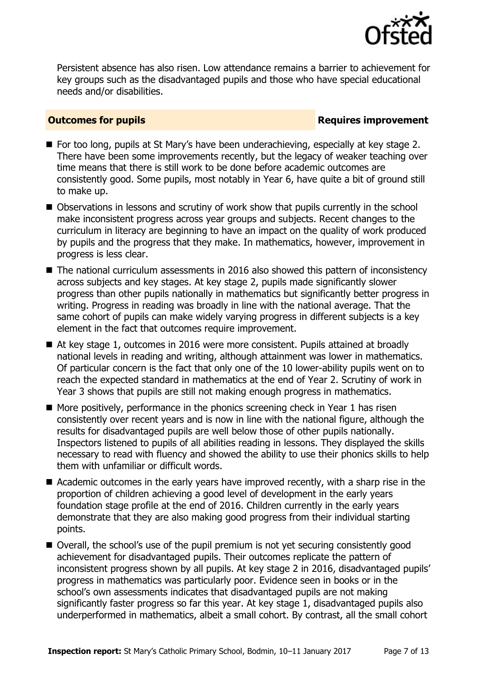

Persistent absence has also risen. Low attendance remains a barrier to achievement for key groups such as the disadvantaged pupils and those who have special educational needs and/or disabilities.

### **Outcomes for pupils Requires improvement**

- For too long, pupils at St Mary's have been underachieving, especially at key stage 2. There have been some improvements recently, but the legacy of weaker teaching over time means that there is still work to be done before academic outcomes are consistently good. Some pupils, most notably in Year 6, have quite a bit of ground still to make up.
- Observations in lessons and scrutiny of work show that pupils currently in the school make inconsistent progress across year groups and subjects. Recent changes to the curriculum in literacy are beginning to have an impact on the quality of work produced by pupils and the progress that they make. In mathematics, however, improvement in progress is less clear.
- The national curriculum assessments in 2016 also showed this pattern of inconsistency across subjects and key stages. At key stage 2, pupils made significantly slower progress than other pupils nationally in mathematics but significantly better progress in writing. Progress in reading was broadly in line with the national average. That the same cohort of pupils can make widely varying progress in different subjects is a key element in the fact that outcomes require improvement.
- At key stage 1, outcomes in 2016 were more consistent. Pupils attained at broadly national levels in reading and writing, although attainment was lower in mathematics. Of particular concern is the fact that only one of the 10 lower-ability pupils went on to reach the expected standard in mathematics at the end of Year 2. Scrutiny of work in Year 3 shows that pupils are still not making enough progress in mathematics.
- $\blacksquare$  More positively, performance in the phonics screening check in Year 1 has risen consistently over recent years and is now in line with the national figure, although the results for disadvantaged pupils are well below those of other pupils nationally. Inspectors listened to pupils of all abilities reading in lessons. They displayed the skills necessary to read with fluency and showed the ability to use their phonics skills to help them with unfamiliar or difficult words.
- Academic outcomes in the early years have improved recently, with a sharp rise in the proportion of children achieving a good level of development in the early years foundation stage profile at the end of 2016. Children currently in the early years demonstrate that they are also making good progress from their individual starting points.
- Overall, the school's use of the pupil premium is not yet securing consistently good achievement for disadvantaged pupils. Their outcomes replicate the pattern of inconsistent progress shown by all pupils. At key stage 2 in 2016, disadvantaged pupils' progress in mathematics was particularly poor. Evidence seen in books or in the school's own assessments indicates that disadvantaged pupils are not making significantly faster progress so far this year. At key stage 1, disadvantaged pupils also underperformed in mathematics, albeit a small cohort. By contrast, all the small cohort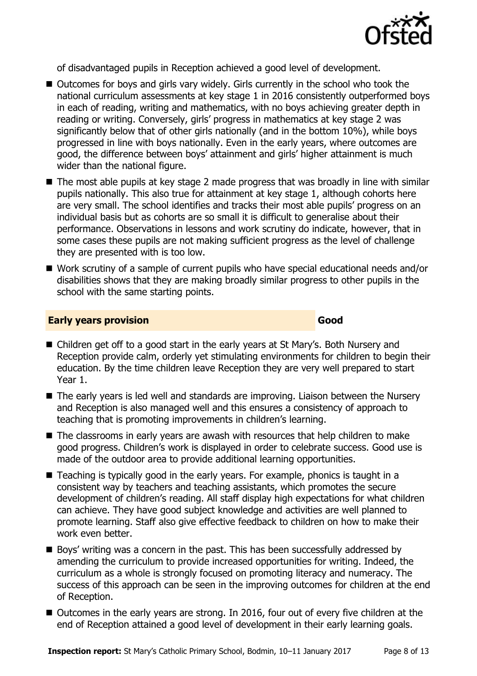

of disadvantaged pupils in Reception achieved a good level of development.

- Outcomes for boys and girls vary widely. Girls currently in the school who took the national curriculum assessments at key stage 1 in 2016 consistently outperformed boys in each of reading, writing and mathematics, with no boys achieving greater depth in reading or writing. Conversely, girls' progress in mathematics at key stage 2 was significantly below that of other girls nationally (and in the bottom 10%), while boys progressed in line with boys nationally. Even in the early years, where outcomes are good, the difference between boys' attainment and girls' higher attainment is much wider than the national figure.
- The most able pupils at key stage 2 made progress that was broadly in line with similar pupils nationally. This also true for attainment at key stage 1, although cohorts here are very small. The school identifies and tracks their most able pupils' progress on an individual basis but as cohorts are so small it is difficult to generalise about their performance. Observations in lessons and work scrutiny do indicate, however, that in some cases these pupils are not making sufficient progress as the level of challenge they are presented with is too low.
- Work scrutiny of a sample of current pupils who have special educational needs and/or disabilities shows that they are making broadly similar progress to other pupils in the school with the same starting points.

#### **Early years provision Good Good**

- Children get off to a good start in the early years at St Mary's. Both Nursery and Reception provide calm, orderly yet stimulating environments for children to begin their education. By the time children leave Reception they are very well prepared to start Year 1.
- The early years is led well and standards are improving. Liaison between the Nursery and Reception is also managed well and this ensures a consistency of approach to teaching that is promoting improvements in children's learning.
- The classrooms in early years are awash with resources that help children to make good progress. Children's work is displayed in order to celebrate success. Good use is made of the outdoor area to provide additional learning opportunities.
- Teaching is typically good in the early years. For example, phonics is taught in a consistent way by teachers and teaching assistants, which promotes the secure development of children's reading. All staff display high expectations for what children can achieve. They have good subject knowledge and activities are well planned to promote learning. Staff also give effective feedback to children on how to make their work even better.
- Boys' writing was a concern in the past. This has been successfully addressed by amending the curriculum to provide increased opportunities for writing. Indeed, the curriculum as a whole is strongly focused on promoting literacy and numeracy. The success of this approach can be seen in the improving outcomes for children at the end of Reception.
- Outcomes in the early years are strong. In 2016, four out of every five children at the end of Reception attained a good level of development in their early learning goals.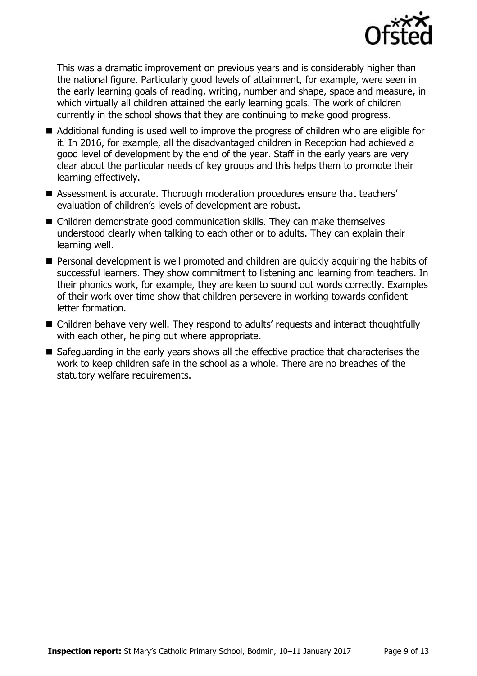

This was a dramatic improvement on previous years and is considerably higher than the national figure. Particularly good levels of attainment, for example, were seen in the early learning goals of reading, writing, number and shape, space and measure, in which virtually all children attained the early learning goals. The work of children currently in the school shows that they are continuing to make good progress.

- Additional funding is used well to improve the progress of children who are eligible for it. In 2016, for example, all the disadvantaged children in Reception had achieved a good level of development by the end of the year. Staff in the early years are very clear about the particular needs of key groups and this helps them to promote their learning effectively.
- Assessment is accurate. Thorough moderation procedures ensure that teachers' evaluation of children's levels of development are robust.
- Children demonstrate good communication skills. They can make themselves understood clearly when talking to each other or to adults. They can explain their learning well.
- Personal development is well promoted and children are quickly acquiring the habits of successful learners. They show commitment to listening and learning from teachers. In their phonics work, for example, they are keen to sound out words correctly. Examples of their work over time show that children persevere in working towards confident letter formation.
- Children behave very well. They respond to adults' requests and interact thoughtfully with each other, helping out where appropriate.
- Safeguarding in the early years shows all the effective practice that characterises the work to keep children safe in the school as a whole. There are no breaches of the statutory welfare requirements.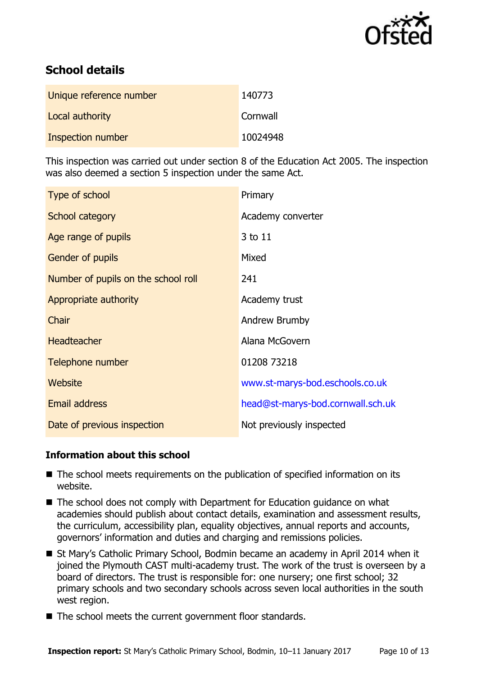

# **School details**

| Unique reference number | 140773   |
|-------------------------|----------|
| Local authority         | Cornwall |
| Inspection number       | 10024948 |

This inspection was carried out under section 8 of the Education Act 2005. The inspection was also deemed a section 5 inspection under the same Act.

| Type of school                      | Primary                           |
|-------------------------------------|-----------------------------------|
| School category                     | Academy converter                 |
| Age range of pupils                 | 3 to 11                           |
| <b>Gender of pupils</b>             | Mixed                             |
| Number of pupils on the school roll | 241                               |
| Appropriate authority               | Academy trust                     |
| Chair                               | Andrew Brumby                     |
| <b>Headteacher</b>                  | Alana McGovern                    |
| Telephone number                    | 01208 73218                       |
| Website                             | www.st-marys-bod.eschools.co.uk   |
| Email address                       | head@st-marys-bod.cornwall.sch.uk |
| Date of previous inspection         | Not previously inspected          |

#### **Information about this school**

- The school meets requirements on the publication of specified information on its website.
- The school does not comply with Department for Education guidance on what academies should publish about contact details, examination and assessment results, the curriculum, accessibility plan, equality objectives, annual reports and accounts, governors' information and duties and charging and remissions policies.
- St Mary's Catholic Primary School, Bodmin became an academy in April 2014 when it joined the Plymouth CAST multi-academy trust. The work of the trust is overseen by a board of directors. The trust is responsible for: one nursery; one first school; 32 primary schools and two secondary schools across seven local authorities in the south west region.
- The school meets the current government floor standards.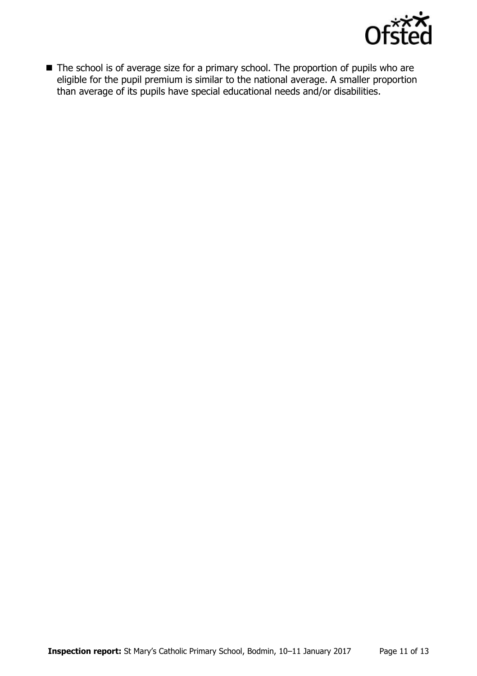

■ The school is of average size for a primary school. The proportion of pupils who are eligible for the pupil premium is similar to the national average. A smaller proportion than average of its pupils have special educational needs and/or disabilities.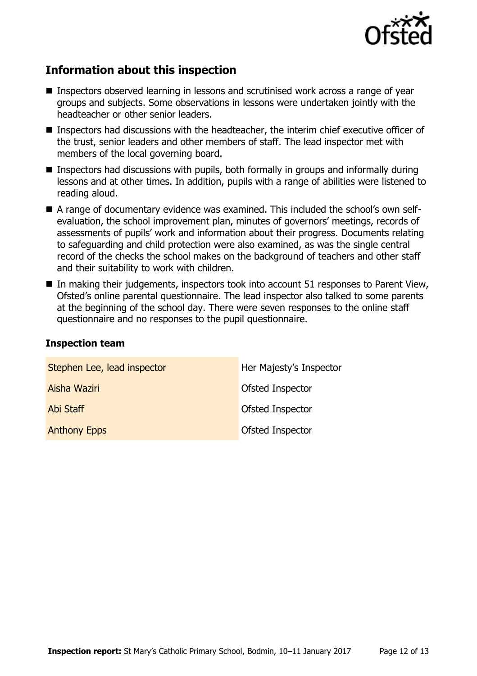

# **Information about this inspection**

- Inspectors observed learning in lessons and scrutinised work across a range of year groups and subjects. Some observations in lessons were undertaken jointly with the headteacher or other senior leaders.
- Inspectors had discussions with the headteacher, the interim chief executive officer of the trust, senior leaders and other members of staff. The lead inspector met with members of the local governing board.
- Inspectors had discussions with pupils, both formally in groups and informally during lessons and at other times. In addition, pupils with a range of abilities were listened to reading aloud.
- A range of documentary evidence was examined. This included the school's own selfevaluation, the school improvement plan, minutes of governors' meetings, records of assessments of pupils' work and information about their progress. Documents relating to safeguarding and child protection were also examined, as was the single central record of the checks the school makes on the background of teachers and other staff and their suitability to work with children.
- In making their judgements, inspectors took into account 51 responses to Parent View, Ofsted's online parental questionnaire. The lead inspector also talked to some parents at the beginning of the school day. There were seven responses to the online staff questionnaire and no responses to the pupil questionnaire.

#### **Inspection team**

| Stephen Lee, lead inspector | Her Majesty's Inspector |
|-----------------------------|-------------------------|
| Aisha Waziri                | Ofsted Inspector        |
| Abi Staff                   | Ofsted Inspector        |
| <b>Anthony Epps</b>         | Ofsted Inspector        |